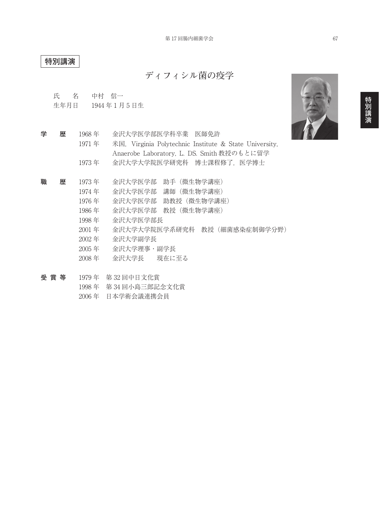## **特別講演**

**ディフィシル菌の疫学**

氏 名 中村 信一

生年月日 1944 年 1 月 5 日生

- **学 歴** 1968 年 金沢大学医学部医学科卒業 医師免許 1971 年 米国, Virginia Polytechnic Institute & State University, Anaerobe Laboratory, L. DS. Smith 教授のもとに留学 1973年 金沢大学大学院医学研究科 博士課程修了, 医学博士
- **職 歴** 1973 年 金沢大学医学部 助手(微生物学講座)
	- 1974 年 金沢大学医学部 講師(微生物学講座)
	- 1976 年 金沢大学医学部 助教授(微生物学講座)
	- 1986 年 金沢大学医学部 教授(微生物学講座)
	- 1998 年 金沢大学医学部長
	- 2001 年 金沢大学大学院医学系研究科 教授(細菌感染症制御学分野)
	- 2002 年 金沢大学副学長
	- 2005 年 金沢大学理事・副学長
	- 2008 年 金沢大学長 現在に至る
- **受 賞 等** 1979 年 第 32 回中日文化賞
	- 1998 年 第 34 回小島三郎記念文化賞
	- 2006 年 日本学術会議連携会員

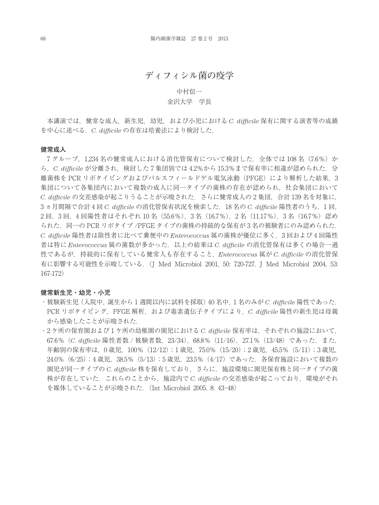## **ディフィシル菌の疫学**

### 中村信一

### 金沢大学 学長

本講演では,健常な成人,新生児,幼児,および小児における *C. difficile* 保有に関する演者等の成績 を中心に述べる.*C. difficile* の存在は培養法により検討した.

#### **健常成人**

7グループ, 1,234 名の健常成人における消化管保有について検討した. 全体では 108 名 (7.6%) か ら,*C. difficile* が分離され,検討した 7 集団別では 4.2%から 15.3%まで保有率に相違が認められた.分 離菌株を PCR リボタイピングおよびパルスフィールドゲル電気泳動(PFGE)により解析した結果. 3 集団について各集団内において複数の成人に同一タイプの菌株の存在が認められ,社会集団において *C. difficile* の交差感染が起こりうることが示唆された.さらに健常成人の 2 集団,合計 139 名を対象に, 3 ヵ月間隔で合計 4 回 *C. difficile* の消化管保有状況を検索した.18 名の *C. difficile* 陽性者のうち,1 回, 2 回,3 回,4 回陽性者はそれぞれ 10 名(55.6%),3 名(16.7%),2 名(11.17%),3 名(16.7%)認め られた. 同一の PCR リボタイプ /PFGE タイプの菌株の持続的な保有が3名の被験者にのみ認められた. *C. difficile* 陽性者は陰性者に比べて糞便中の *Enterococcus* 属の菌株が優位に多く,3 回および 4 回陽性 者は特に *Enterococcus* 属の菌数が多かった.以上の結果は *C. difficile* の消化管保有は多くの場合一過 性であるが,持続的に保有している健常人も存在すること,*Enterococcus* 属が *C. difficile* の消化管保 有に影響する可能性を示唆している.(J Med Microbiol 2001, 50: 720-727. J Med Microbiol 2004, 53: 167-172)

#### **健常新生児・幼児・小児**

- ・被験新生児 (入院中, 誕生から 1 週間以内に試料を採取) 40 名中, 1 名のみが *C. difficile* 陽性であった. PCR リボタイピング,PFGE 解析,および毒素遺伝子タイプにより,*C. difficile* 陽性の新生児は母親 から感染したことが示唆された.
- ・ 2 ケ所の保育園および 1 ケ所の幼稚園の園児における *C. difficile* 保有率は,それぞれの施設において, 67.6%(*C. difficile* 陽性者数 / 被験者数,23/34),68.8%(11/16),27.1%(13/48)であった.また, 年齢別の保有率は,0 歳児,100%(12/12);1 歳児,75.0%(15/20);2 歳児, 45.5%(5/11);3 歳児, 24.0%(6/25);4 歳児,38.5%(5/13);5 歳児,23.5%(4/17)であった.各保育施設において複数の 園児が同一タイプの *C. difficile* 株を保有しており,さらに,施設環境に園児保有株と同一タイプの菌 株が存在していた.これらのことから,施設内で *C. difficile* の交差感染が起こっており,環境がそれ を媒体していることが示唆された.(Int Microbiol 2005, 8: 43-48)